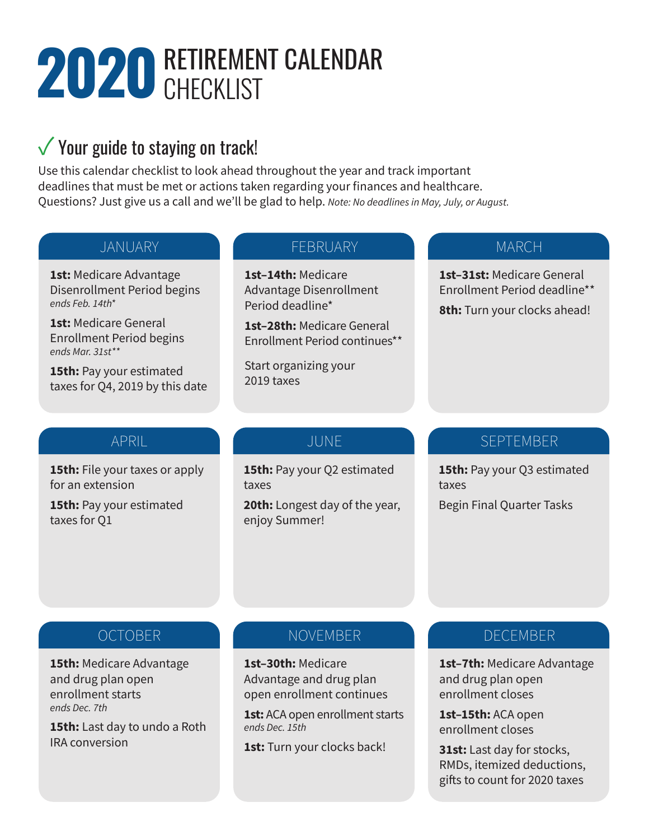# **2020 RETIREMENT CALENDAR**

# $\sqrt{}$  Your guide to staying on track!

Use this calendar checklist to look ahead throughout the year and track important deadlines that must be met or actions taken regarding your finances and healthcare. Questions? Just give us a call and we'll be glad to help. *Note: No deadlines in May, July, or August.*

#### JANUARY

**1st:** Medicare Advantage Disenrollment Period begins *ends Feb. 14th\**

**1st:** Medicare General Enrollment Period begins *ends Mar. 31st\*\**

**15th:** Pay your estimated taxes for Q4, 2019 by this date

#### FEBRUARY

**1st–14th:** Medicare Advantage Disenrollment Period deadline\*

**1st–28th:** Medicare General Enrollment Period continues\*\*

Start organizing your 2019 taxes

#### **MARCH**

**1st–31st:** Medicare General Enrollment Period deadline\*\*

**8th:** Turn your clocks ahead!

#### APRIL

**15th:** File your taxes or apply for an extension

**15th:** Pay your estimated taxes for Q1

### JUNE

**15th:** Pay your Q2 estimated taxes

**20th:** Longest day of the year, enjoy Summer!

### SEPTEMBER

**15th:** Pay your Q3 estimated taxes Begin Final Quarter Tasks

### **OCTOBER**

**15th:** Medicare Advantage and drug plan open enrollment starts *ends Dec. 7th*

**15th:** Last day to undo a Roth IRA conversion

### NOVEMBER

**1st–30th:** Medicare Advantage and drug plan open enrollment continues

**1st:** ACA open enrollment starts *ends Dec. 15th*

**1st:** Turn your clocks back!

# **DECEMBER**

**1st–7th:** Medicare Advantage and drug plan open enrollment closes

**1st–15th:** ACA open enrollment closes

**31st:** Last day for stocks, RMDs, itemized deductions, gifts to count for 2020 taxes